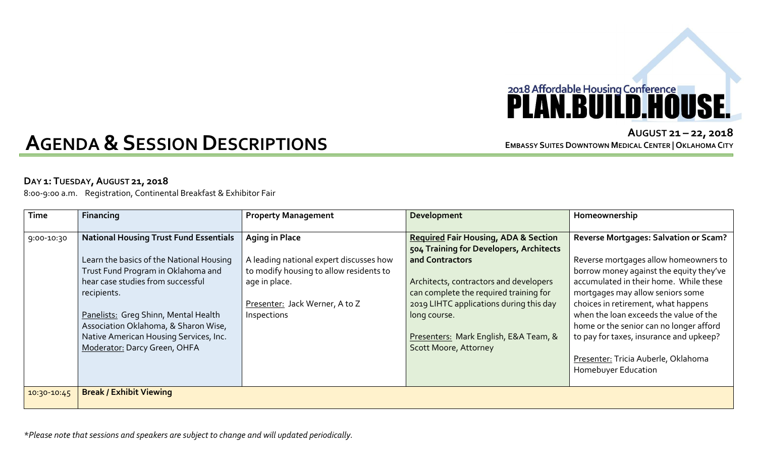## 2018 Affordable Housing Conference<br>**PLAN.BUILD.HOUSE.**

## **AGENDA&SESSION DESCRIPTIONS**

**AUGUST 21 – 22, 2018 EMBASSY SUITES DOWNTOWN MEDICAL CENTER | OKLAHOMA CITY**

## **DAY 1: TUESDAY,AUGUST 21, 2018**

8:00-9:00 a.m. Registration, Continental Breakfast & Exhibitor Fair

| <b>Time</b> | Financing                                     | <b>Property Management</b>              | Development                                     | Homeownership                                |
|-------------|-----------------------------------------------|-----------------------------------------|-------------------------------------------------|----------------------------------------------|
|             |                                               |                                         |                                                 |                                              |
| 9:00-10:30  | <b>National Housing Trust Fund Essentials</b> | <b>Aging in Place</b>                   | <b>Required Fair Housing, ADA &amp; Section</b> | <b>Reverse Mortgages: Salvation or Scam?</b> |
|             |                                               |                                         | 504 Training for Developers, Architects         |                                              |
|             | Learn the basics of the National Housing      | A leading national expert discusses how | and Contractors                                 | Reverse mortgages allow homeowners to        |
|             | Trust Fund Program in Oklahoma and            | to modify housing to allow residents to |                                                 | borrow money against the equity they've      |
|             | hear case studies from successful             | age in place.                           | Architects, contractors and developers          | accumulated in their home. While these       |
|             | recipients.                                   |                                         | can complete the required training for          | mortgages may allow seniors some             |
|             |                                               | Presenter: Jack Werner, A to Z          | 2019 LIHTC applications during this day         | choices in retirement, what happens          |
|             | Panelists: Greg Shinn, Mental Health          | Inspections                             | long course.                                    | when the loan exceeds the value of the       |
|             | Association Oklahoma, & Sharon Wise,          |                                         |                                                 | home or the senior can no longer afford      |
|             | Native American Housing Services, Inc.        |                                         | Presenters: Mark English, E&A Team, &           | to pay for taxes, insurance and upkeep?      |
|             | Moderator: Darcy Green, OHFA                  |                                         | <b>Scott Moore, Attorney</b>                    |                                              |
|             |                                               |                                         |                                                 | Presenter: Tricia Auberle, Oklahoma          |
|             |                                               |                                         |                                                 | Homebuyer Education                          |
|             |                                               |                                         |                                                 |                                              |
| 10:30-10:45 | <b>Break / Exhibit Viewing</b>                |                                         |                                                 |                                              |
|             |                                               |                                         |                                                 |                                              |

*\*Please note that sessions and speakers are subject to change and will updated periodically.*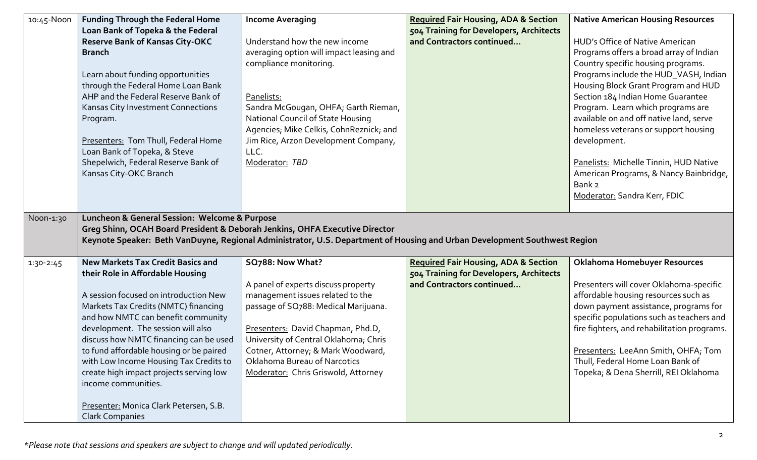| 10:45-Noon  | <b>Funding Through the Federal Home</b>                                     | <b>Income Averaging</b>                  | <b>Required Fair Housing, ADA &amp; Section</b>                                                                           | <b>Native American Housing Resources</b>    |
|-------------|-----------------------------------------------------------------------------|------------------------------------------|---------------------------------------------------------------------------------------------------------------------------|---------------------------------------------|
|             | Loan Bank of Topeka & the Federal                                           |                                          | 504 Training for Developers, Architects                                                                                   |                                             |
|             | <b>Reserve Bank of Kansas City-OKC</b>                                      | Understand how the new income            | and Contractors continued                                                                                                 | HUD's Office of Native American             |
|             | <b>Branch</b>                                                               | averaging option will impact leasing and |                                                                                                                           | Programs offers a broad array of Indian     |
|             |                                                                             | compliance monitoring.                   |                                                                                                                           | Country specific housing programs.          |
|             | Learn about funding opportunities                                           |                                          |                                                                                                                           | Programs include the HUD_VASH, Indian       |
|             | through the Federal Home Loan Bank                                          |                                          |                                                                                                                           | Housing Block Grant Program and HUD         |
|             | AHP and the Federal Reserve Bank of                                         | Panelists:                               |                                                                                                                           | Section 184 Indian Home Guarantee           |
|             | Kansas City Investment Connections                                          | Sandra McGougan, OHFA; Garth Rieman,     |                                                                                                                           | Program. Learn which programs are           |
|             | Program.                                                                    | National Council of State Housing        |                                                                                                                           | available on and off native land, serve     |
|             |                                                                             | Agencies; Mike Celkis, CohnReznick; and  |                                                                                                                           | homeless veterans or support housing        |
|             | Presenters: Tom Thull, Federal Home                                         | Jim Rice, Arzon Development Company,     |                                                                                                                           | development.                                |
|             | Loan Bank of Topeka, & Steve                                                | LLC.                                     |                                                                                                                           |                                             |
|             | Shepelwich, Federal Reserve Bank of                                         | Moderator: TBD                           |                                                                                                                           | Panelists: Michelle Tinnin, HUD Native      |
|             | Kansas City-OKC Branch                                                      |                                          |                                                                                                                           | American Programs, & Nancy Bainbridge,      |
|             |                                                                             |                                          |                                                                                                                           | Bank 2                                      |
|             |                                                                             |                                          |                                                                                                                           | Moderator: Sandra Kerr, FDIC                |
|             |                                                                             |                                          |                                                                                                                           |                                             |
| Noon-1:30   | Luncheon & General Session: Welcome & Purpose                               |                                          |                                                                                                                           |                                             |
|             | Greg Shinn, OCAH Board President & Deborah Jenkins, OHFA Executive Director |                                          |                                                                                                                           |                                             |
|             |                                                                             |                                          | Keynote Speaker: Beth VanDuyne, Regional Administrator, U.S. Department of Housing and Urban Development Southwest Region |                                             |
| $1:30-2:45$ | <b>New Markets Tax Credit Basics and</b>                                    | SQ788: Now What?                         | <b>Required Fair Housing, ADA &amp; Section</b>                                                                           | Oklahoma Homebuyer Resources                |
|             | their Role in Affordable Housing                                            |                                          | 504 Training for Developers, Architects                                                                                   |                                             |
|             |                                                                             | A panel of experts discuss property      | and Contractors continued                                                                                                 | Presenters will cover Oklahoma-specific     |
|             | A session focused on introduction New                                       | management issues related to the         |                                                                                                                           | affordable housing resources such as        |
|             | Markets Tax Credits (NMTC) financing                                        | passage of SQ788: Medical Marijuana.     |                                                                                                                           | down payment assistance, programs for       |
|             | and how NMTC can benefit community                                          |                                          |                                                                                                                           | specific populations such as teachers and   |
|             | development. The session will also                                          | Presenters: David Chapman, Phd.D,        |                                                                                                                           | fire fighters, and rehabilitation programs. |
|             | discuss how NMTC financing can be used                                      | University of Central Oklahoma; Chris    |                                                                                                                           |                                             |
|             | to fund affordable housing or be paired                                     | Cotner, Attorney; & Mark Woodward,       |                                                                                                                           | Presenters: LeeAnn Smith, OHFA; Tom         |
|             | with Low Income Housing Tax Credits to                                      | Oklahoma Bureau of Narcotics             |                                                                                                                           | Thull, Federal Home Loan Bank of            |
|             | create high impact projects serving low                                     | Moderator: Chris Griswold, Attorney      |                                                                                                                           | Topeka; & Dena Sherrill, REI Oklahoma       |
|             | income communities.                                                         |                                          |                                                                                                                           |                                             |
|             |                                                                             |                                          |                                                                                                                           |                                             |
|             | Presenter: Monica Clark Petersen, S.B.                                      |                                          |                                                                                                                           |                                             |
|             | <b>Clark Companies</b>                                                      |                                          |                                                                                                                           |                                             |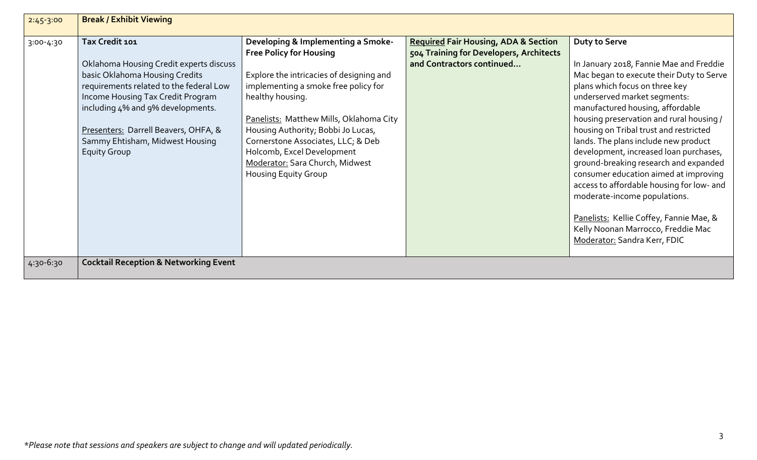| $2:45-3:00$   | <b>Break / Exhibit Viewing</b>                                                                                                                                                                                                                                                                                     |                                                                                                                                                                                                                                                                                                                                                                                                     |                                                                                                                         |                                                                                                                                                                                                                                                                                                                                                                                                                                                                                                                                                                                                                                                                           |
|---------------|--------------------------------------------------------------------------------------------------------------------------------------------------------------------------------------------------------------------------------------------------------------------------------------------------------------------|-----------------------------------------------------------------------------------------------------------------------------------------------------------------------------------------------------------------------------------------------------------------------------------------------------------------------------------------------------------------------------------------------------|-------------------------------------------------------------------------------------------------------------------------|---------------------------------------------------------------------------------------------------------------------------------------------------------------------------------------------------------------------------------------------------------------------------------------------------------------------------------------------------------------------------------------------------------------------------------------------------------------------------------------------------------------------------------------------------------------------------------------------------------------------------------------------------------------------------|
| $3:00 - 4:30$ | Tax Credit 101<br>Oklahoma Housing Credit experts discuss<br>basic Oklahoma Housing Credits<br>requirements related to the federal Low<br>Income Housing Tax Credit Program<br>including 4% and 9% developments.<br>Presenters: Darrell Beavers, OHFA, &<br>Sammy Ehtisham, Midwest Housing<br><b>Equity Group</b> | Developing & Implementing a Smoke-<br><b>Free Policy for Housing</b><br>Explore the intricacies of designing and<br>implementing a smoke free policy for<br>healthy housing.<br>Panelists: Matthew Mills, Oklahoma City<br>Housing Authority; Bobbi Jo Lucas,<br>Cornerstone Associates, LLC; & Deb<br>Holcomb, Excel Development<br>Moderator: Sara Church, Midwest<br><b>Housing Equity Group</b> | <b>Required Fair Housing, ADA &amp; Section</b><br>504 Training for Developers, Architects<br>and Contractors continued | <b>Duty to Serve</b><br>In January 2018, Fannie Mae and Freddie<br>Mac began to execute their Duty to Serve<br>plans which focus on three key<br>underserved market segments:<br>manufactured housing, affordable<br>housing preservation and rural housing /<br>housing on Tribal trust and restricted<br>lands. The plans include new product<br>development, increased loan purchases,<br>ground-breaking research and expanded<br>consumer education aimed at improving<br>access to affordable housing for low- and<br>moderate-income populations.<br>Panelists: Kellie Coffey, Fannie Mae, &<br>Kelly Noonan Marrocco, Freddie Mac<br>Moderator: Sandra Kerr, FDIC |
| 4:30-6:30     | <b>Cocktail Reception &amp; Networking Event</b>                                                                                                                                                                                                                                                                   |                                                                                                                                                                                                                                                                                                                                                                                                     |                                                                                                                         |                                                                                                                                                                                                                                                                                                                                                                                                                                                                                                                                                                                                                                                                           |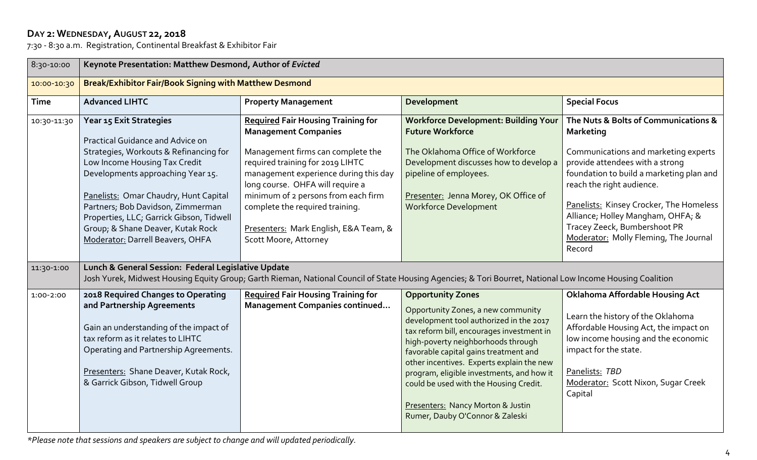## **DAY 2: WEDNESDAY,AUGUST 22, 2018**

7:30 - 8:30 a.m. Registration, Continental Breakfast & Exhibitor Fair

| 8:30-10:00                | Keynote Presentation: Matthew Desmond, Author of Evicted                                                                                                                                                                                                                                                                                                                                                                              |                                                                                                                                                                                                                                                                                                                                                                            |                                                                                                                                                                                                                                                                                                                                                                                                                                                   |                                                                                                                                                                                                                                                                                                                                                                                 |
|---------------------------|---------------------------------------------------------------------------------------------------------------------------------------------------------------------------------------------------------------------------------------------------------------------------------------------------------------------------------------------------------------------------------------------------------------------------------------|----------------------------------------------------------------------------------------------------------------------------------------------------------------------------------------------------------------------------------------------------------------------------------------------------------------------------------------------------------------------------|---------------------------------------------------------------------------------------------------------------------------------------------------------------------------------------------------------------------------------------------------------------------------------------------------------------------------------------------------------------------------------------------------------------------------------------------------|---------------------------------------------------------------------------------------------------------------------------------------------------------------------------------------------------------------------------------------------------------------------------------------------------------------------------------------------------------------------------------|
| 10:00-10:30               | Break/Exhibitor Fair/Book Signing with Matthew Desmond                                                                                                                                                                                                                                                                                                                                                                                |                                                                                                                                                                                                                                                                                                                                                                            |                                                                                                                                                                                                                                                                                                                                                                                                                                                   |                                                                                                                                                                                                                                                                                                                                                                                 |
| <b>Time</b>               | <b>Advanced LIHTC</b>                                                                                                                                                                                                                                                                                                                                                                                                                 | <b>Property Management</b>                                                                                                                                                                                                                                                                                                                                                 | Development                                                                                                                                                                                                                                                                                                                                                                                                                                       | <b>Special Focus</b>                                                                                                                                                                                                                                                                                                                                                            |
| 10:30-11:30<br>11:30-1:00 | Year 15 Exit Strategies<br>Practical Guidance and Advice on<br>Strategies, Workouts & Refinancing for<br>Low Income Housing Tax Credit<br>Developments approaching Year 15.<br>Panelists: Omar Chaudry, Hunt Capital<br>Partners; Bob Davidson, Zimmerman<br>Properties, LLC; Garrick Gibson, Tidwell<br>Group; & Shane Deaver, Kutak Rock<br>Moderator: Darrell Beavers, OHFA<br>Lunch & General Session: Federal Legislative Update | <b>Required Fair Housing Training for</b><br><b>Management Companies</b><br>Management firms can complete the<br>required training for 2019 LIHTC<br>management experience during this day<br>long course. OHFA will require a<br>minimum of 2 persons from each firm<br>complete the required training.<br>Presenters: Mark English, E&A Team, &<br>Scott Moore, Attorney | <b>Workforce Development: Building Your</b><br><b>Future Workforce</b><br>The Oklahoma Office of Workforce<br>Development discusses how to develop a<br>pipeline of employees.<br>Presenter: Jenna Morey, OK Office of<br><b>Workforce Development</b>                                                                                                                                                                                            | The Nuts & Bolts of Communications &<br><b>Marketing</b><br>Communications and marketing experts<br>provide attendees with a strong<br>foundation to build a marketing plan and<br>reach the right audience.<br>Panelists: Kinsey Crocker, The Homeless<br>Alliance; Holley Mangham, OHFA; &<br>Tracey Zeeck, Bumbershoot PR<br>Moderator: Molly Fleming, The Journal<br>Record |
|                           |                                                                                                                                                                                                                                                                                                                                                                                                                                       |                                                                                                                                                                                                                                                                                                                                                                            | Josh Yurek, Midwest Housing Equity Group; Garth Rieman, National Council of State Housing Agencies; & Tori Bourret, National Low Income Housing Coalition                                                                                                                                                                                                                                                                                         |                                                                                                                                                                                                                                                                                                                                                                                 |
| 1:00-2:00                 | 2018 Required Changes to Operating<br>and Partnership Agreements<br>Gain an understanding of the impact of<br>tax reform as it relates to LIHTC<br>Operating and Partnership Agreements.<br>Presenters: Shane Deaver, Kutak Rock,<br>& Garrick Gibson, Tidwell Group                                                                                                                                                                  | <b>Required Fair Housing Training for</b><br><b>Management Companies continued</b>                                                                                                                                                                                                                                                                                         | <b>Opportunity Zones</b><br>Opportunity Zones, a new community<br>development tool authorized in the 2017<br>tax reform bill, encourages investment in<br>high-poverty neighborhoods through<br>favorable capital gains treatment and<br>other incentives. Experts explain the new<br>program, eligible investments, and how it<br>could be used with the Housing Credit.<br>Presenters: Nancy Morton & Justin<br>Rumer, Dauby O'Connor & Zaleski | <b>Oklahoma Affordable Housing Act</b><br>Learn the history of the Oklahoma<br>Affordable Housing Act, the impact on<br>low income housing and the economic<br>impact for the state.<br>Panelists: TBD<br>Moderator: Scott Nixon, Sugar Creek<br>Capital                                                                                                                        |

*\*Please note that sessions and speakers are subject to change and will updated periodically.*